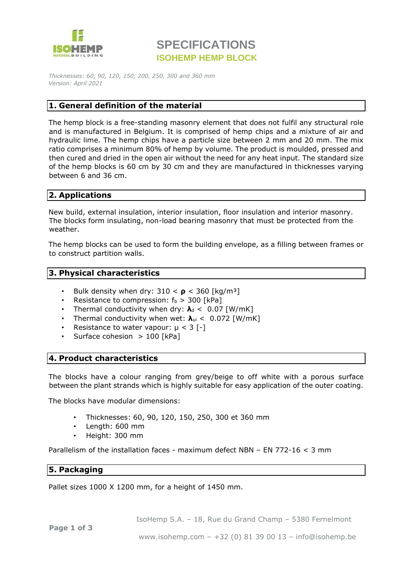

# **SPECIFICATIONS ISOHEMP HEMP BLOCK**

*Thicknesses: 60, 90, 120, 150, 200, 250, 300 and 360 mm Version: April 2021*

### **1. General definition of the material**

The hemp block is a free-standing masonry element that does not fulfil any structural role and is manufactured in Belgium. It is comprised of hemp chips and a mixture of air and hydraulic lime. The hemp chips have a particle size between 2 mm and 20 mm. The mix ratio comprises a minimum 80% of hemp by volume. The product is moulded, pressed and then cured and dried in the open air without the need for any heat input. The standard size of the hemp blocks is 60 cm by 30 cm and they are manufactured in thicknesses varying between 6 and 36 cm.

### **2. Applications**

New build, external insulation, interior insulation, floor insulation and interior masonry. The blocks form insulating, non-load bearing masonry that must be protected from the weather.

The hemp blocks can be used to form the building envelope, as a filling between frames or to construct partition walls.

#### **3. Physical characteristics**

- Bulk density when dry:  $310 < p < 360$  [kg/m<sup>3</sup>]
- Resistance to compression:  $f_b > 300$  [kPa]
- Thermal conductivity when dry:  $\lambda_d$  < 0.07 [W/mK]
- Thermal conductivity when wet: **λ**ui < 0.072 [W/mK]
- Resistance to water vapour:  $\mu$  < 3 [-]
- Surface cohesion  $> 100$  [kPa]

#### **4. Product characteristics**

The blocks have a colour ranging from grey/beige to off white with a porous surface between the plant strands which is highly suitable for easy application of the outer coating.

The blocks have modular dimensions:

- Thicknesses: 60, 90, 120, 150, 250, 300 et 360 mm
- Length: 600 mm
- Height: 300 mm

Parallelism of the installation faces - maximum defect NBN – EN 772-16 < 3 mm

### **5. Packaging**

Pallet sizes 1000 X 1200 mm, for a height of 1450 mm.

IsoHemp S.A. – 18, Rue du Grand Champ – 5380 Fernelmont

**Page 1 of 3**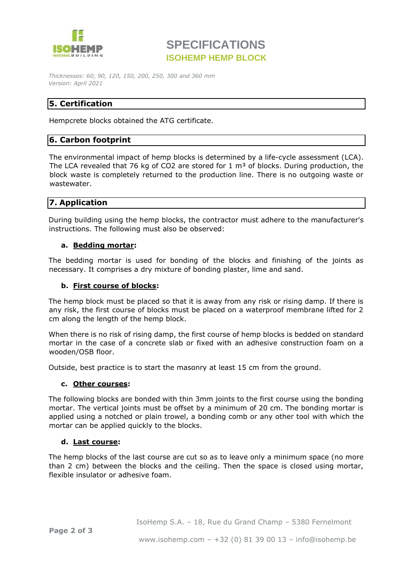

## **SPECIFICATIONS ISOHEMP HEMP BLOCK**

*Thicknesses: 60, 90, 120, 150, 200, 250, 300 and 360 mm Version: April 2021*

## **5. Certification**

Hempcrete blocks obtained the ATG certificate.

### **6. Carbon footprint**

The environmental impact of hemp blocks is determined by a life-cycle assessment (LCA). The LCA revealed that 76 kg of CO2 are stored for 1  $m<sup>3</sup>$  of blocks. During production, the block waste is completely returned to the production line. There is no outgoing waste or wastewater.

### **7. Application**

During building using the hemp blocks, the contractor must adhere to the manufacturer's instructions. The following must also be observed:

#### **a. Bedding mortar:**

The bedding mortar is used for bonding of the blocks and finishing of the joints as necessary. It comprises a dry mixture of bonding plaster, lime and sand.

#### **b. First course of blocks:**

The hemp block must be placed so that it is away from any risk or rising damp. If there is any risk, the first course of blocks must be placed on a waterproof membrane lifted for 2 cm along the length of the hemp block.

When there is no risk of rising damp, the first course of hemp blocks is bedded on standard mortar in the case of a concrete slab or fixed with an adhesive construction foam on a wooden/OSB floor.

Outside, best practice is to start the masonry at least 15 cm from the ground.

#### **c. Other courses:**

The following blocks are bonded with thin 3mm joints to the first course using the bonding mortar. The vertical joints must be offset by a minimum of 20 cm. The bonding mortar is applied using a notched or plain trowel, a bonding comb or any other tool with which the mortar can be applied quickly to the blocks.

#### **d. Last course:**

The hemp blocks of the last course are cut so as to leave only a minimum space (no more than 2 cm) between the blocks and the ceiling. Then the space is closed using mortar, flexible insulator or adhesive foam.